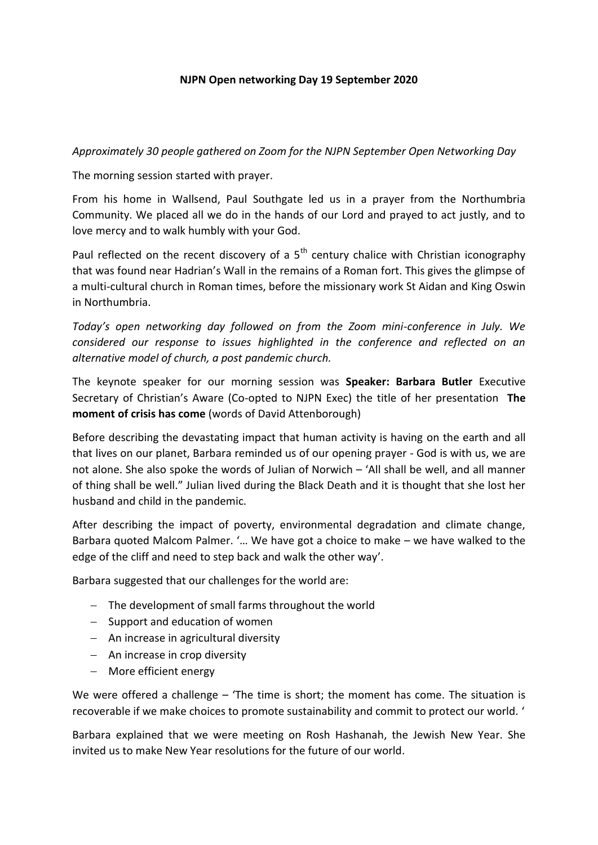## **NJPN Open networking Day 19 September 2020**

*Approximately 30 people gathered on Zoom for the NJPN September Open Networking Day*

The morning session started with prayer.

From his home in Wallsend, Paul Southgate led us in a prayer from the Northumbria Community. We placed all we do in the hands of our Lord and prayed to act justly, and to love mercy and to walk humbly with your God.

Paul reflected on the recent discovery of a  $5<sup>th</sup>$  century chalice with Christian iconography that was found near Hadrian's Wall in the remains of a Roman fort. This gives the glimpse of a multi-cultural church in Roman times, before the missionary work St Aidan and King Oswin in Northumbria.

*Today's open networking day followed on from the Zoom mini-conference in July. We considered our response to issues highlighted in the conference and reflected on an alternative model of church, a post pandemic church.* 

The keynote speaker for our morning session was **Speaker: Barbara Butler** Executive Secretary of Christian's Aware (Co-opted to NJPN Exec) the title of her presentation **The moment of crisis has come** (words of David Attenborough)

Before describing the devastating impact that human activity is having on the earth and all that lives on our planet, Barbara reminded us of our opening prayer - God is with us, we are not alone. She also spoke the words of Julian of Norwich – 'All shall be well, and all manner of thing shall be well." Julian lived during the Black Death and it is thought that she lost her husband and child in the pandemic.

After describing the impact of poverty, environmental degradation and climate change, Barbara quoted Malcom Palmer. '… We have got a choice to make – we have walked to the edge of the cliff and need to step back and walk the other way'.

Barbara suggested that our challenges for the world are:

- The development of small farms throughout the world
- $-$  Support and education of women
- $-$  An increase in agricultural diversity
- An increase in crop diversity
- More efficient energy

We were offered a challenge – 'The time is short; the moment has come. The situation is recoverable if we make choices to promote sustainability and commit to protect our world. '

Barbara explained that we were meeting on Rosh Hashanah, the Jewish New Year. She invited us to make New Year resolutions for the future of our world.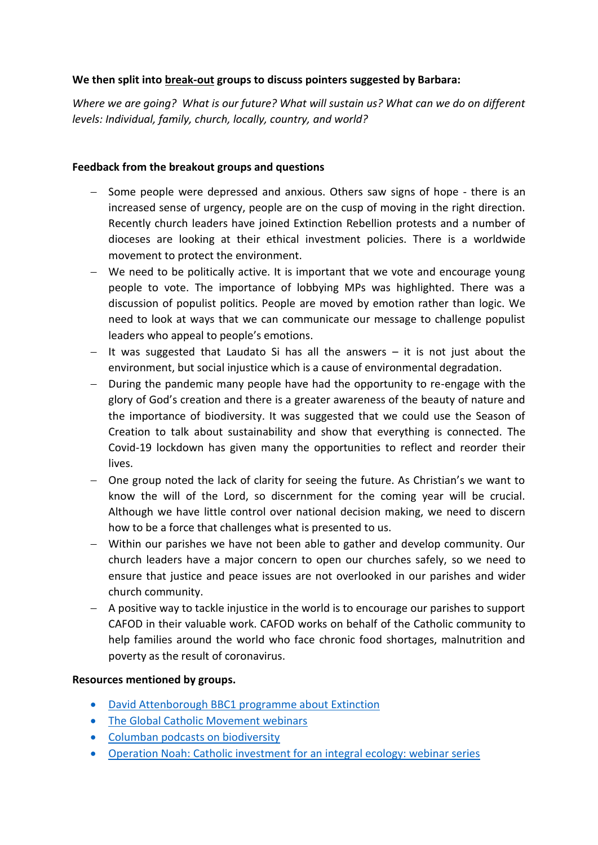## **We then split into break-out groups to discuss pointers suggested by Barbara:**

*Where we are going? What is our future? What will sustain us? What can we do on different levels: Individual, family, church, locally, country, and world?*

#### **Feedback from the breakout groups and questions**

- Some people were depressed and anxious. Others saw signs of hope there is an increased sense of urgency, people are on the cusp of moving in the right direction. Recently church leaders have joined Extinction Rebellion protests and a number of dioceses are looking at their ethical investment policies. There is a worldwide movement to protect the environment.
- We need to be politically active. It is important that we vote and encourage young people to vote. The importance of lobbying MPs was highlighted. There was a discussion of populist politics. People are moved by emotion rather than logic. We need to look at ways that we can communicate our message to challenge populist leaders who appeal to people's emotions.
- $-$  It was suggested that Laudato Si has all the answers  $-$  it is not just about the environment, but social injustice which is a cause of environmental degradation.
- $-$  During the pandemic many people have had the opportunity to re-engage with the glory of God's creation and there is a greater awareness of the beauty of nature and the importance of biodiversity. It was suggested that we could use the Season of Creation to talk about sustainability and show that everything is connected. The Covid-19 lockdown has given many the opportunities to reflect and reorder their lives.
- One group noted the lack of clarity for seeing the future. As Christian's we want to know the will of the Lord, so discernment for the coming year will be crucial. Although we have little control over national decision making, we need to discern how to be a force that challenges what is presented to us.
- Within our parishes we have not been able to gather and develop community. Our church leaders have a major concern to open our churches safely, so we need to ensure that justice and peace issues are not overlooked in our parishes and wider church community.
- A positive way to tackle injustice in the world is to encourage our parishes to support CAFOD in their valuable work. CAFOD works on behalf of the Catholic community to help families around the world who face chronic food shortages, malnutrition and poverty as the result of coronavirus.

# **Resources mentioned by groups.**

- [David Attenborough BBC1 programme about Extinction](https://www.bbc.co.uk/programmes/m000mn4n)
- [The Global Catholic Movement webinars](https://catholicclimatemovement.global/webinars/)
- [Columban podcasts on biodiversity](https://columbans.co.uk/columban-podcasts-on-biodiversity)
- [Operation Noah: Catholic investment for an integral ecology: webinar series](https://operationnoah.org/news-events/catholic-investment-for-an-integral-ecology-webinar-series/)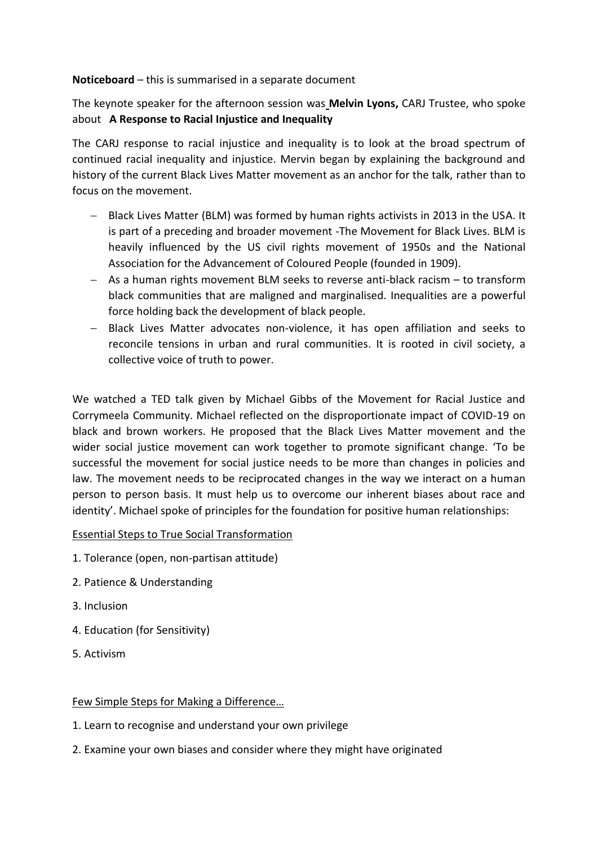## **Noticeboard** – this is summarised in a separate document

The keynote speaker for the afternoon session was **Melvin Lyons,** CARJ Trustee, who spoke about **A Response to Racial Injustice and Inequality**

The CARJ response to racial injustice and inequality is to look at the broad spectrum of continued racial inequality and injustice. Mervin began by explaining the background and history of the current Black Lives Matter movement as an anchor for the talk, rather than to focus on the movement.

- Black Lives Matter (BLM) was formed by human rights activists in 2013 in the USA. It is part of a preceding and broader movement -The Movement for Black Lives. BLM is heavily influenced by the US civil rights movement of 1950s and the National Association for the Advancement of Coloured People (founded in 1909).
- As a human rights movement BLM seeks to reverse anti-black racism to transform black communities that are maligned and marginalised. Inequalities are a powerful force holding back the development of black people.
- Black Lives Matter advocates non-violence, it has open affiliation and seeks to reconcile tensions in urban and rural communities. It is rooted in civil society, a collective voice of truth to power.

We watched a TED talk given by Michael Gibbs of the Movement for Racial Justice and Corrymeela Community. Michael reflected on the disproportionate impact of COVID-19 on black and brown workers. He proposed that the Black Lives Matter movement and the wider social justice movement can work together to promote significant change. 'To be successful the movement for social justice needs to be more than changes in policies and law. The movement needs to be reciprocated changes in the way we interact on a human person to person basis. It must help us to overcome our inherent biases about race and identity'. Michael spoke of principles for the foundation for positive human relationships:

# Essential Steps to True Social Transformation

- 1. Tolerance (open, non‐partisan attitude)
- 2. Patience & Understanding
- 3. Inclusion
- 4. Education (for Sensitivity)
- 5. Activism

#### Few Simple Steps for Making a Difference…

- 1. Learn to recognise and understand your own privilege
- 2. Examine your own biases and consider where they might have originated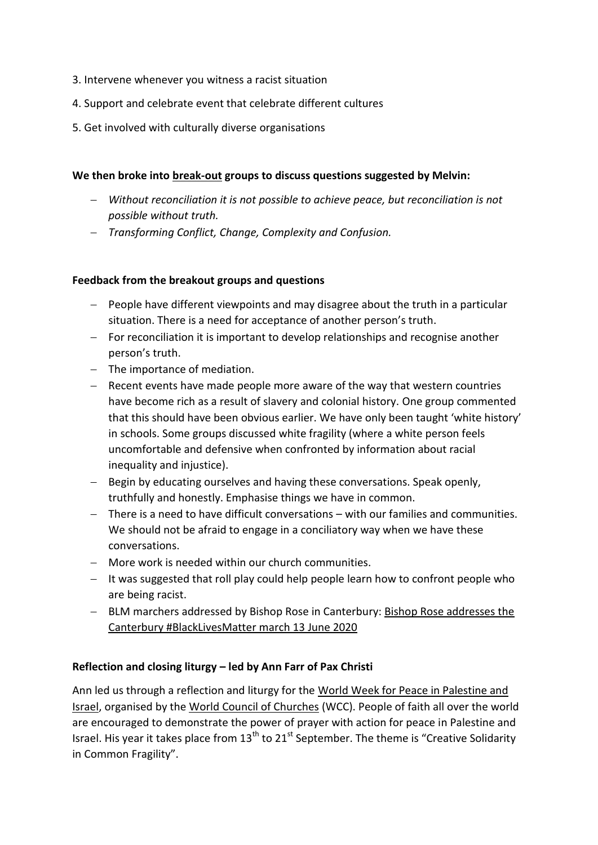- 3. Intervene whenever you witness a racist situation
- 4. Support and celebrate event that celebrate different cultures
- 5. Get involved with culturally diverse organisations

## **We then broke into break-out groups to discuss questions suggested by Melvin:**

- *Without reconciliation it is not possible to achieve peace, but reconciliation is not possible without truth.*
- *Transforming Conflict, Change, Complexity and Confusion.*

## **Feedback from the breakout groups and questions**

- $P$  People have different viewpoints and may disagree about the truth in a particular situation. There is a need for acceptance of another person's truth.
- $-$  For reconciliation it is important to develop relationships and recognise another person's truth.
- $-$  The importance of mediation.
- $-$  Recent events have made people more aware of the way that western countries have become rich as a result of slavery and colonial history. One group commented that this should have been obvious earlier. We have only been taught 'white history' in schools. Some groups discussed white fragility (where a white person feels uncomfortable and defensive when confronted by information about racial inequality and injustice).
- Begin by educating ourselves and having these conversations. Speak openly, truthfully and honestly. Emphasise things we have in common.
- There is a need to have difficult conversations with our families and communities. We should not be afraid to engage in a conciliatory way when we have these conversations.
- More work is needed within our church communities.
- $-$  It was suggested that roll play could help people learn how to confront people who are being racist.
- BLM marchers addressed by Bishop Rose in Canterbury: Bishop Rose addresses the [Canterbury #BlackLivesMatter march 13 June 2020](https://youtu.be/qUBngem8bws)

# **Reflection and closing liturgy – led by Ann Farr of Pax Christi**

Ann led us through a reflection and liturgy for the [World Week for Peace in Palestine and](https://paxchristi.net/2020/09/09/world-week-for-peace-in-palestine-and-israel/)  [Israel,](https://paxchristi.net/2020/09/09/world-week-for-peace-in-palestine-and-israel/) organised by the [World Council of Churches](https://www.oikoumene.org/en/resources/documents/wcc-programmes/public-witness/peace-building-cf/creative-solidarity-in-common-fragility/) (WCC). People of faith all over the world are encouraged to demonstrate the power of prayer with action for peace in Palestine and Israel. His year it takes place from  $13<sup>th</sup>$  to  $21<sup>st</sup>$  September. The theme is "Creative Solidarity in Common Fragility".